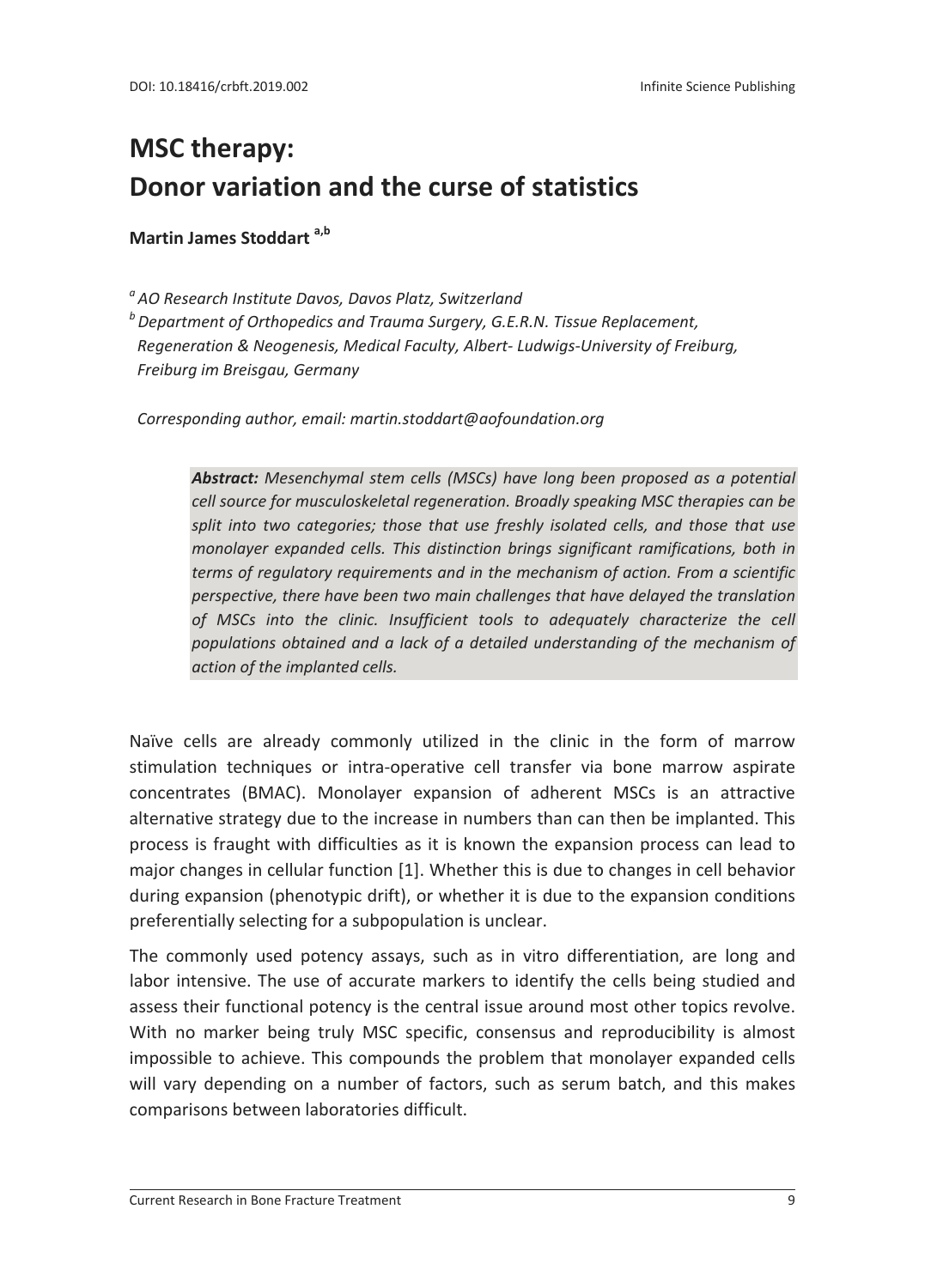## **MSC therapy: Donor variation and the curse of statistics**

**Martin James Stoddart a,b**

*<sup>a</sup> AO Research Institute Davos, Davos Platz, Switzerland*

*b* Department of Orthopedics and Trauma Surgery, G.E.R.N. Tissue Replacement,  *Regeneration & Neogenesis, Medical Faculty, Albert‐ Ludwigs‐University of Freiburg, Freiburg im Breisgau, Germany*

 *Corresponding author, email: martin.stoddart@aofoundation.org*

*Abstract: Mesenchymal stem cells (MSCs) have long been proposed as a potential cell source for musculoskeletal regeneration. Broadly speaking MSC therapies can be split into two categories; those that use freshly isolated cells, and those that use monolayer expanded cells. This distinction brings significant ramifications, both in terms of regulatory requirements and in the mechanism of action. From a scientific perspective, there have been two main challenges that have delayed the translation of MSCs into the clinic. Insufficient tools to adequately characterize the cell populations obtained and a lack of a detailed understanding of the mechanism of action of the implanted cells.*

Naïve cells are already commonly utilized in the clinic in the form of marrow stimulation techniques or intra‐operative cell transfer via bone marrow aspirate concentrates (BMAC). Monolayer expansion of adherent MSCs is an attractive alternative strategy due to the increase in numbers than can then be implanted. This process is fraught with difficulties as it is known the expansion process can lead to major changes in cellular function [1]. Whether this is due to changes in cell behavior during expansion (phenotypic drift), or whether it is due to the expansion conditions preferentially selecting for a subpopulation is unclear.

The commonly used potency assays, such as in vitro differentiation, are long and labor intensive. The use of accurate markers to identify the cells being studied and assess their functional potency is the central issue around most other topics revolve. With no marker being truly MSC specific, consensus and reproducibility is almost impossible to achieve. This compounds the problem that monolayer expanded cells will vary depending on a number of factors, such as serum batch, and this makes comparisons between laboratories difficult.

 $\overline{a}$